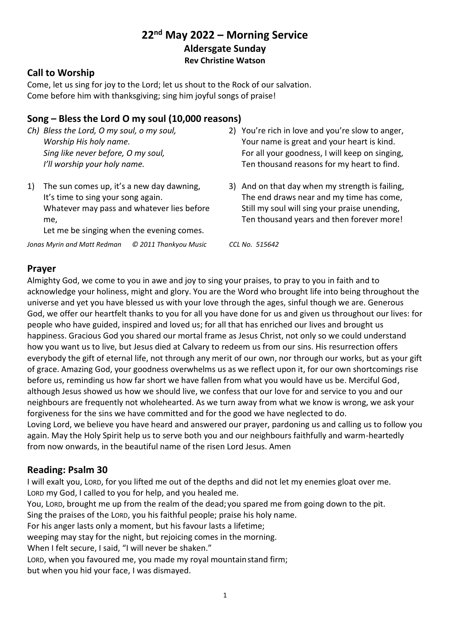# **22nd May 2022 – Morning Service Aldersgate Sunday Rev Christine Watson**

### **Call to Worship**

Come, let us sing for joy to the Lord; let us shout to the Rock of our salvation. Come before him with thanksgiving; sing him joyful songs of praise!

# **Song – Bless the Lord O my soul (10,000 reasons)**

- *Ch) Bless the Lord, O my soul, o my soul, Worship His holy name. Sing like never before, O my soul, I'll worship your holy name.*
- 1) The sun comes up, it's a new day dawning, It's time to sing your song again. Whatever may pass and whatever lies before me,

Let me be singing when the evening comes.

*Jonas Myrin and Matt Redman © 2011 Thankyou Music CCL No. 515642*

- 2) You're rich in love and you're slow to anger, Your name is great and your heart is kind. For all your goodness, I will keep on singing, Ten thousand reasons for my heart to find.
- 3) And on that day when my strength is failing, The end draws near and my time has come, Still my soul will sing your praise unending, Ten thousand years and then forever more!

#### **Prayer**

Almighty God, we come to you in awe and joy to sing your praises, to pray to you in faith and to acknowledge your holiness, might and glory. You are the Word who brought life into being throughout the universe and yet you have blessed us with your love through the ages, sinful though we are. Generous God, we offer our heartfelt thanks to you for all you have done for us and given us throughout our lives: for people who have guided, inspired and loved us; for all that has enriched our lives and brought us happiness. Gracious God you shared our mortal frame as Jesus Christ, not only so we could understand how you want us to live, but Jesus died at Calvary to redeem us from our sins. His resurrection offers everybody the gift of eternal life, not through any merit of our own, nor through our works, but as your gift of grace. Amazing God, your goodness overwhelms us as we reflect upon it, for our own shortcomings rise before us, reminding us how far short we have fallen from what you would have us be. Merciful God, although Jesus showed us how we should live, we confess that our love for and service to you and our neighbours are frequently not wholehearted. As we turn away from what we know is wrong, we ask your forgiveness for the sins we have committed and for the good we have neglected to do. Loving Lord, we believe you have heard and answered our prayer, pardoning us and calling us to follow you again. May the Holy Spirit help us to serve both you and our neighbours faithfully and warm-heartedly from now onwards, in the beautiful name of the risen Lord Jesus. Amen

# **Reading: Psalm 30**

I will exalt you, LORD, for you lifted me out of the depths and did not let my enemies gloat over me. LORD my God, I called to you for help, and you healed me.

You, LORD, brought me up from the realm of the dead; you spared me from going down to the pit.

Sing the praises of the LORD, you his faithful people; praise his holy name.

For his anger lasts only a moment, but his favour lasts a lifetime;

weeping may stay for the night, but rejoicing comes in the morning.

When I felt secure, I said, "I will never be shaken."

LORD, when you favoured me, you made my royal mountainstand firm;

but when you hid your face, I was dismayed.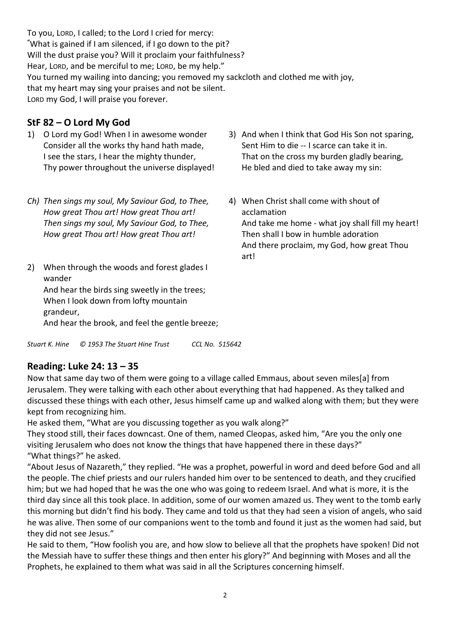To you, LORD, I called; to the Lord I cried for mercy: **"**What is gained if I am silenced, if I go down to the pit? Will the dust praise you? Will it proclaim your faithfulness? Hear, LORD, and be merciful to me; LORD, be my help." You turned my wailing into dancing; you removed my sackcloth and clothed me with joy, that my heart may sing your praises and not be silent. LORD my God, I will praise you forever.

### **StF 82 – O Lord My God**

- 1) O Lord my God! When I in awesome wonder Consider all the works thy hand hath made, I see the stars, I hear the mighty thunder, Thy power throughout the universe displayed!
- *Ch) Then sings my soul, My Saviour God, to Thee, How great Thou art! How great Thou art! Then sings my soul, My Saviour God, to Thee, How great Thou art! How great Thou art!*
- 2) When through the woods and forest glades I wander And hear the birds sing sweetly in the trees; When I look down from lofty mountain grandeur, And hear the brook, and feel the gentle breeze;
- 3) And when I think that God His Son not sparing, Sent Him to die -- I scarce can take it in. That on the cross my burden gladly bearing, He bled and died to take away my sin:
- 4) When Christ shall come with shout of acclamation And take me home - what joy shall fill my heart! Then shall I bow in humble adoration And there proclaim, my God, how great Thou art!

*Stuart K. Hine © 1953 The Stuart Hine Trust CCL No. 515642*

# **Reading: Luke 24: 13 – 35**

Now that same day two of them were going to a village called Emmaus, about seven miles[a] from Jerusalem. They were talking with each other about everything that had happened. As they talked and discussed these things with each other, Jesus himself came up and walked along with them; but they were kept from recognizing him.

He asked them, "What are you discussing together as you walk along?"

They stood still, their faces downcast. One of them, named Cleopas, asked him, "Are you the only one visiting Jerusalem who does not know the things that have happened there in these days?" "What things?" he asked.

"About Jesus of Nazareth," they replied. "He was a prophet, powerful in word and deed before God and all the people. The chief priests and our rulers handed him over to be sentenced to death, and they crucified him; but we had hoped that he was the one who was going to redeem Israel. And what is more, it is the third day since all this took place. In addition, some of our women amazed us. They went to the tomb early this morning but didn't find his body. They came and told us that they had seen a vision of angels, who said he was alive. Then some of our companions went to the tomb and found it just as the women had said, but they did not see Jesus."

He said to them, "How foolish you are, and how slow to believe all that the prophets have spoken! Did not the Messiah have to suffer these things and then enter his glory?" And beginning with Moses and all the Prophets, he explained to them what was said in all the Scriptures concerning himself.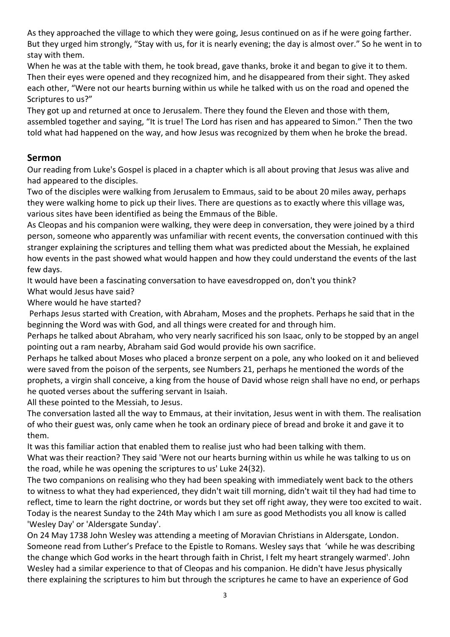As they approached the village to which they were going, Jesus continued on as if he were going farther. But they urged him strongly, "Stay with us, for it is nearly evening; the day is almost over." So he went in to stay with them.

When he was at the table with them, he took bread, gave thanks, broke it and began to give it to them. Then their eyes were opened and they recognized him, and he disappeared from their sight. They asked each other, "Were not our hearts burning within us while he talked with us on the road and opened the Scriptures to us?"

They got up and returned at once to Jerusalem. There they found the Eleven and those with them, assembled together and saying, "It is true! The Lord has risen and has appeared to Simon." Then the two told what had happened on the way, and how Jesus was recognized by them when he broke the bread.

### **Sermon**

Our reading from Luke's Gospel is placed in a chapter which is all about proving that Jesus was alive and had appeared to the disciples.

Two of the disciples were walking from Jerusalem to Emmaus, said to be about 20 miles away, perhaps they were walking home to pick up their lives. There are questions as to exactly where this village was, various sites have been identified as being the Emmaus of the Bible.

As Cleopas and his companion were walking, they were deep in conversation, they were joined by a third person, someone who apparently was unfamiliar with recent events, the conversation continued with this stranger explaining the scriptures and telling them what was predicted about the Messiah, he explained how events in the past showed what would happen and how they could understand the events of the last few days.

It would have been a fascinating conversation to have eavesdropped on, don't you think?

What would Jesus have said?

Where would he have started?

Perhaps Jesus started with Creation, with Abraham, Moses and the prophets. Perhaps he said that in the beginning the Word was with God, and all things were created for and through him.

Perhaps he talked about Abraham, who very nearly sacrificed his son Isaac, only to be stopped by an angel pointing out a ram nearby, Abraham said God would provide his own sacrifice.

Perhaps he talked about Moses who placed a bronze serpent on a pole, any who looked on it and believed were saved from the poison of the serpents, see Numbers 21, perhaps he mentioned the words of the prophets, a virgin shall conceive, a king from the house of David whose reign shall have no end, or perhaps he quoted verses about the suffering servant in Isaiah.

All these pointed to the Messiah, to Jesus.

The conversation lasted all the way to Emmaus, at their invitation, Jesus went in with them. The realisation of who their guest was, only came when he took an ordinary piece of bread and broke it and gave it to them.

It was this familiar action that enabled them to realise just who had been talking with them. What was their reaction? They said 'Were not our hearts burning within us while he was talking to us on the road, while he was opening the scriptures to us' Luke 24(32).

The two companions on realising who they had been speaking with immediately went back to the others to witness to what they had experienced, they didn't wait till morning, didn't wait til they had had time to reflect, time to learn the right doctrine, or words but they set off right away, they were too excited to wait. Today is the nearest Sunday to the 24th May which I am sure as good Methodists you all know is called 'Wesley Day' or 'Aldersgate Sunday'.

On 24 May 1738 John Wesley was attending a meeting of Moravian Christians in Aldersgate, London. Someone read from Luther's Preface to the Epistle to Romans. Wesley says that 'while he was describing the change which God works in the heart through faith in Christ, I felt my heart strangely warmed'. John Wesley had a similar experience to that of Cleopas and his companion. He didn't have Jesus physically there explaining the scriptures to him but through the scriptures he came to have an experience of God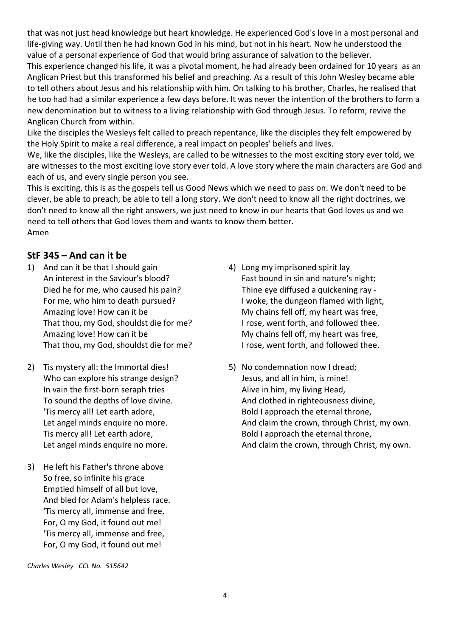that was not just head knowledge but heart knowledge. He experienced God's love in a most personal and life-giving way. Until then he had known God in his mind, but not in his heart. Now he understood the value of a personal experience of God that would bring assurance of salvation to the believer.

This experience changed his life, it was a pivotal moment, he had already been ordained for 10 years as an Anglican Priest but this transformed his belief and preaching. As a result of this John Wesley became able to tell others about Jesus and his relationship with him. On talking to his brother, Charles, he realised that he too had had a similar experience a few days before. It was never the intention of the brothers to form a new denomination but to witness to a living relationship with God through Jesus. To reform, revive the Anglican Church from within.

Like the disciples the Wesleys felt called to preach repentance, like the disciples they felt empowered by the Holy Spirit to make a real difference, a real impact on peoples' beliefs and lives.

We, like the disciples, like the Wesleys, are called to be witnesses to the most exciting story ever told, we are witnesses to the most exciting love story ever told. A love story where the main characters are God and each of us, and every single person you see.

This is exciting, this is as the gospels tell us Good News which we need to pass on. We don't need to be clever, be able to preach, be able to tell a long story. We don't need to know all the right doctrines, we don't need to know all the right answers, we just need to know in our hearts that God loves us and we need to tell others that God loves them and wants to know them better. Amen

### **StF 345 – And can it be**

- 1) And can it be that I should gain An interest in the Saviour's blood? Died he for me, who caused his pain? For me, who him to death pursued? Amazing love! How can it be That thou, my God, shouldst die for me? Amazing love! How can it be That thou, my God, shouldst die for me?
- 2) Tis mystery all: the Immortal dies! Who can explore his strange design? In vain the first-born seraph tries To sound the depths of love divine. 'Tis mercy all! Let earth adore, Let angel minds enquire no more. Tis mercy all! Let earth adore, Let angel minds enquire no more.
- 3) He left his Father's throne above So free, so infinite his grace Emptied himself of all but love, And bled for Adam's helpless race. 'Tis mercy all, immense and free, For, O my God, it found out me! 'Tis mercy all, immense and free, For, O my God, it found out me!

*Charles Wesley CCL No. 515642*

- 4) Long my imprisoned spirit lay Fast bound in sin and nature's night; Thine eye diffused a quickening ray - I woke, the dungeon flamed with light, My chains fell off, my heart was free, I rose, went forth, and followed thee. My chains fell off, my heart was free, I rose, went forth, and followed thee.
- 5) No condemnation now I dread; Jesus, and all in him, is mine! Alive in him, my living Head, And clothed in righteousness divine, Bold I approach the eternal throne, And claim the crown, through Christ, my own. Bold I approach the eternal throne, And claim the crown, through Christ, my own.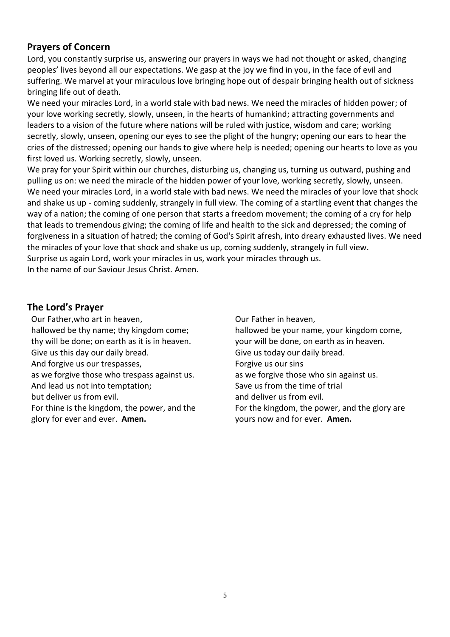#### **Prayers of Concern**

Lord, you constantly surprise us, answering our prayers in ways we had not thought or asked, changing peoples' lives beyond all our expectations. We gasp at the joy we find in you, in the face of evil and suffering. We marvel at your miraculous love bringing hope out of despair bringing health out of sickness bringing life out of death.

We need your miracles Lord, in a world stale with bad news. We need the miracles of hidden power; of your love working secretly, slowly, unseen, in the hearts of humankind; attracting governments and leaders to a vision of the future where nations will be ruled with justice, wisdom and care; working secretly, slowly, unseen, opening our eyes to see the plight of the hungry; opening our ears to hear the cries of the distressed; opening our hands to give where help is needed; opening our hearts to love as you first loved us. Working secretly, slowly, unseen.

We pray for your Spirit within our churches, disturbing us, changing us, turning us outward, pushing and pulling us on: we need the miracle of the hidden power of your love, working secretly, slowly, unseen. We need your miracles Lord, in a world stale with bad news. We need the miracles of your love that shock and shake us up - coming suddenly, strangely in full view. The coming of a startling event that changes the way of a nation; the coming of one person that starts a freedom movement; the coming of a cry for help that leads to tremendous giving; the coming of life and health to the sick and depressed; the coming of forgiveness in a situation of hatred; the coming of God's Spirit afresh, into dreary exhausted lives. We need the miracles of your love that shock and shake us up, coming suddenly, strangely in full view. Surprise us again Lord, work your miracles in us, work your miracles through us. In the name of our Saviour Jesus Christ. Amen.

#### **The Lord's Prayer**

Our Father,who art in heaven, hallowed be thy name; thy kingdom come; thy will be done; on earth as it is in heaven. Give us this day our daily bread. And forgive us our trespasses, as we forgive those who trespass against us. And lead us not into temptation; but deliver us from evil. For thine is the kingdom, the power, and the glory for ever and ever. **Amen.**

Our Father in heaven, hallowed be your name, your kingdom come, your will be done, on earth as in heaven. Give us today our daily bread. Forgive us our sins as we forgive those who sin against us. Save us from the time of trial and deliver us from evil. For the kingdom, the power, and the glory are yours now and for ever. **Amen.**